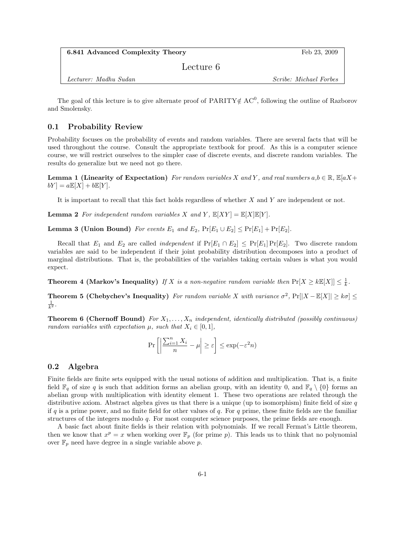Feb 23, 2009

Lecture 6

Lecturer: Madhu Sudan Scribe: Michael Forbes

The goal of this lecture is to give alternate proof of PARITY  $\notin AC^0$ , following the outline of Razborov and Smolensky.

# 0.1 Probability Review

Probability focuses on the probability of events and random variables. There are several facts that will be used throughout the course. Consult the appropriate textbook for proof. As this is a computer science course, we will restrict ourselves to the simpler case of discrete events, and discrete random variables. The results do generalize but we need not go there.

**Lemma 1 (Linearity of Expectation)** For random variables X and Y, and real numbers  $a, b \in \mathbb{R}$ ,  $\mathbb{E}[aX + b]$  $bY$  =  $a\mathbb{E}[X] + b\mathbb{E}[Y]$ .

It is important to recall that this fact holds regardless of whether X and Y are independent or not.

**Lemma 2** For independent random variables X and Y,  $\mathbb{E}[XY] = \mathbb{E}[X]\mathbb{E}[Y]$ .

Lemma 3 (Union Bound) For events  $E_1$  and  $E_2$ ,  $Pr[E_1 \cup E_2] \leq Pr[E_1] + Pr[E_2]$ .

Recall that  $E_1$  and  $E_2$  are called *independent* if  $Pr[E_1 \cap E_2] \leq Pr[E_1] Pr[E_2]$ . Two discrete random variables are said to be independent if their joint probability distribution decomposes into a product of marginal distributions. That is, the probabilities of the variables taking certain values is what you would expect.

**Theorem 4 (Markov's Inequality)** If X is a non-negative random variable then  $Pr[X \ge kE[X]] \le \frac{1}{k}$ .

**Theorem 5 (Chebychev's Inequality)** For random variable X with variance  $\sigma^2$ ,  $Pr[|X - \mathbb{E}[X]| \geq k\sigma] \leq$  $\frac{1}{k^2}$ .

**Theorem 6 (Chernoff Bound)** For  $X_1, \ldots, X_n$  independent, identically distributed (possibly continuous) random variables with expectation  $\mu$ , such that  $X_i \in [0,1]$ ,

$$
\Pr\left[\left|\frac{\sum_{i=1}^{n} X_i}{n} - \mu\right| \ge \varepsilon\right] \le \exp(-\varepsilon^2 n)
$$

#### 0.2 Algebra

Finite fields are finite sets equipped with the usual notions of addition and multiplication. That is, a finite field  $\mathbb{F}_q$  of size q is such that addition forms an abelian group, with an identity 0, and  $\mathbb{F}_q \setminus \{0\}$  forms an abelian group with multiplication with identity element 1. These two operations are related through the distributive axiom. Abstract algebra gives us that there is a unique (up to isomorphism) finite field of size q if q is a prime power, and no finite field for other values of q. For q prime, these finite fields are the familiar structures of the integers modulo q. For most computer science purposes, the prime fields are enough.

A basic fact about finite fields is their relation with polynomials. If we recall Fermat's Little theorem, then we know that  $x^p = x$  when working over  $\mathbb{F}_p$  (for prime p). This leads us to think that no polynomial over  $\mathbb{F}_p$  need have degree in a single variable above p.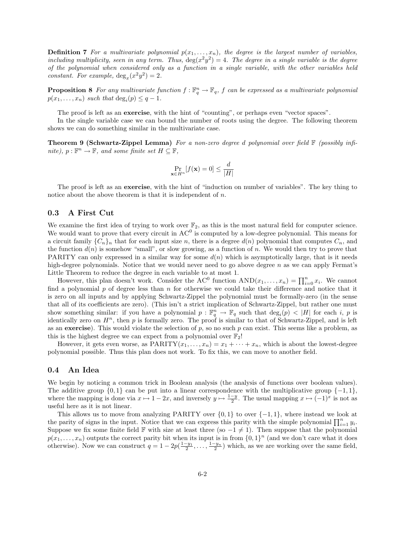**Definition 7** For a multivariate polynomial  $p(x_1, \ldots, x_n)$ , the degree is the largest number of variables, including multiplicity, seen in any term. Thus,  $\deg(x^2y^2) = 4$ . The degree in a single variable is the degree of the polynomial when considered only as a function in a single variable, with the other variables held constant. For example,  $deg_x(x^2y^2) = 2$ .

**Proposition 8** For any multivariate function  $f : \mathbb{F}_q^n \to \mathbb{F}_q$ , f can be expressed as a multivariate polynomial  $p(x_1,...,x_n)$  such that  $\deg_i(p) \leq q-1$ .

The proof is left as an **exercise**, with the hint of "counting", or perhaps even "vector spaces".

In the single variable case we can bound the number of roots using the degree. The following theorem shows we can do something similar in the multivariate case.

**Theorem 9 (Schwartz-Zippel Lemma)** For a non-zero degree d polynomial over field  $\mathbb{F}$  (possibly infinite),  $p : \mathbb{F}^n \to \mathbb{F}$ , and some finite set  $H \subseteq \mathbb{F}$ ,

$$
\Pr_{\mathbf{x} \in H^n} [f(\mathbf{x}) = 0] \le \frac{d}{|H|}
$$

The proof is left as an **exercise**, with the hint of "induction on number of variables". The key thing to notice about the above theorem is that it is independent of  $n$ .

## 0.3 A First Cut

We examine the first idea of trying to work over  $\mathbb{F}_2$ , as this is the most natural field for computer science. We would want to prove that every circuit in  $AC^0$  is computed by a low-degree polynomial. This means for a circuit family  $\{C_n\}_n$  that for each input size n, there is a degree  $d(n)$  polynomial that computes  $C_n$ , and the function  $d(n)$  is somehow "small", or slow growing, as a function of n. We would then try to prove that PARITY can only expressed in a similar way for some  $d(n)$  which is asymptotically large, that is it needs high-degree polynomials. Notice that we would never need to go above degree n as we can apply Fermat's Little Theorem to reduce the degree in each variable to at most 1.

However, this plan doesn't work. Consider the AC<sup>0</sup> function  $AND(x_1,...,x_n) = \prod_{i=0}^n x_i$ . We cannot find a polynomial  $p$  of degree less than  $n$  for otherwise we could take their difference and notice that it is zero on all inputs and by applying Schwartz-Zippel the polynomial must be formally-zero (in the sense that all of its coefficients are zero). (This isn't a strict implication of Schwartz-Zippel, but rather one must show something similar: if you have a polynomial  $p : \mathbb{F}_q^n \to \mathbb{F}_q$  such that  $\deg_i(p) < |H|$  for each i, p is identically zero on  $H<sup>n</sup>$ , then p is formally zero. The proof is similar to that of Schwartz-Zippel, and is left as an exercise). This would violate the selection of  $p$ , so no such  $p$  can exist. This seems like a problem, as this is the highest degree we can expect from a polynomial over  $\mathbb{F}_2!$ 

However, it gets even worse, as  $\text{PARITY}(x_1, \ldots, x_n) = x_1 + \cdots + x_n$ , which is about the lowest-degree polynomial possible. Thus this plan does not work. To fix this, we can move to another field.

### 0.4 An Idea

We begin by noticing a common trick in Boolean analysis (the analysis of functions over boolean values). The additive group  $\{0, 1\}$  can be put into a linear correspondence with the multiplicative group  $\{-1, 1\}$ , where the mapping is done via  $x \mapsto 1-2x$ , and inversely  $y \mapsto \frac{1-y}{2}$ . The usual mapping  $x \mapsto (-1)^x$  is not as useful here as it is not linear.

This allows us to move from analyzing PARITY over  $\{0, 1\}$  to over  $\{-1, 1\}$ , where instead we look at the parity of signs in the input. Notice that we can express this parity with the simple polynomial  $\prod_{i=1}^n y_i$ . Suppose we fix some finite field F with size at least three (so  $-1 \neq 1$ ). Then suppose that the polynomial  $p(x_1, \ldots, x_n)$  outputs the correct parity bit when its input is in from  $\{0, 1\}^n$  (and we don't care what it does otherwise). Now we can construct  $q = 1 - 2p(\frac{1-y_1}{2}, \ldots, \frac{1-y_n}{2})$  which, as we are working over the same field,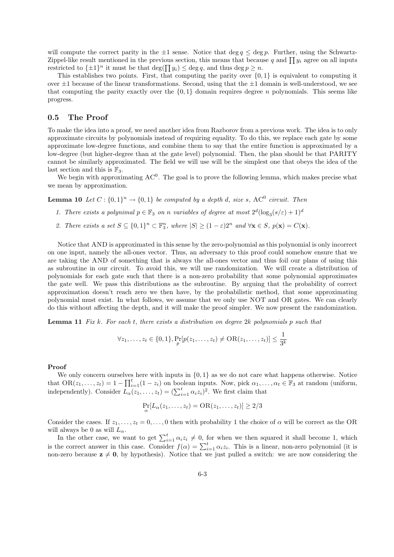will compute the correct parity in the  $\pm 1$  sense. Notice that deg  $q \leq \deg p$ . Further, using the Schwartz-Zippel-like result mentioned in the previous section, this means that because q and  $\prod y_i$  agree on all inputs restricted to  $\{\pm 1\}^n$  it must be that  $\deg(\prod y_i) \leq \deg q$ , and thus  $\deg p \geq n$ .

This establishes two points. First, that computing the parity over  $\{0, 1\}$  is equivalent to computing it over  $\pm 1$  because of the linear transformations. Second, using that the  $\pm 1$  domain is well-understood, we see that computing the parity exactly over the  $\{0,1\}$  domain requires degree n polynomials. This seems like progress.

#### 0.5 The Proof

To make the idea into a proof, we need another idea from Razborov from a previous work. The idea is to only approximate circuits by polynomials instead of requiring equality. To do this, we replace each gate by some approximate low-degree functions, and combine them to say that the entire function is approximated by a low-degree (but higher-degree than at the gate level) polynomial. Then, the plan should be that PARITY cannot be similarly approximated. The field we will use will be the simplest one that obeys the idea of the last section and this is  $\mathbb{F}_3$ .

We begin with approximating  $AC^0$ . The goal is to prove the following lemma, which makes precise what we mean by approximation.

**Lemma 10** Let  $C: \{0,1\}^n \to \{0,1\}$  be computed by a depth d, size s, AC<sup>0</sup> circuit. Then

- 1. There exists a polynimal  $p \in \mathbb{F}_3$  on n variables of degree at most  $2^d(\log_3(s/\varepsilon) + 1)^d$
- 2. There exists a set  $S \subseteq \{0,1\}^n \subset \mathbb{F}_3^n$ , where  $|S| \ge (1-\varepsilon)2^n$  and  $\forall \mathbf{x} \in S$ ,  $p(\mathbf{x}) = C(\mathbf{x})$ .

Notice that AND is approximated in this sense by the zero-polynomial as this polynomial is only incorrect on one input, namely the all-ones vector. Thus, an adversary to this proof could somehow ensure that we are taking the AND of something that is always the all-ones vector and thus foil our plans of using this as subroutine in our circuit. To avoid this, we will use randomization. We will create a distribution of polynomials for each gate such that there is a non-zero probability that some polynomial approximates the gate well. We pass this distributions as the subroutine. By arguing that the probability of correct approximation doesn't reach zero we then have, by the probabilistic method, that some approximating polynomial must exist. In what follows, we assume that we only use NOT and OR gates. We can clearly do this without affecting the depth, and it will make the proof simpler. We now present the randomization.

**Lemma 11** Fix k. For each t, there exists a distribution on degree 2k polynomials p such that

$$
\forall z_1, \ldots, z_t \in \{0, 1\}, \Pr_p[p(z_1, \ldots, z_t) \neq \text{OR}(z_1, \ldots, z_t)] \leq \frac{1}{3^k}
$$

#### Proof

We only concern ourselves here with inputs in  $\{0, 1\}$  as we do not care what happens otherwise. Notice that  $OR(z_1, \ldots, z_t) = 1 - \prod_{i=1}^t (1 - z_i)$  on boolean inputs. Now, pick  $\alpha_1, \ldots, \alpha_t \in \mathbb{F}_3$  at random (uniform, independently). Consider  $L_{\alpha}(z_1,\ldots,z_t) = (\sum_{i=1}^t \alpha_i z_i)^2$ . We first claim that

$$
\Pr_{\alpha}[L_{\alpha}(z_1,\ldots,z_t)=\text{OR}(z_1,\ldots,z_t)]\geq 2/3
$$

Consider the cases. If  $z_1, \ldots, z_t = 0, \ldots, 0$  then with probability 1 the choice of  $\alpha$  will be correct as the OR will always be 0 as will  $L_{\alpha}$ .

In the other case, we want to get  $\sum_{i=1}^{t} \alpha_i z_i \neq 0$ , for when we then squared it shall become 1, which is the correct answer in this case. Consider  $f(\alpha) = \sum_{i=1}^{t} \alpha_i z_i$ . This is a linear, non-zero polynomial (it is non-zero because  $z \neq 0$ , by hypothesis). Notice that we just pulled a switch: we are now considering the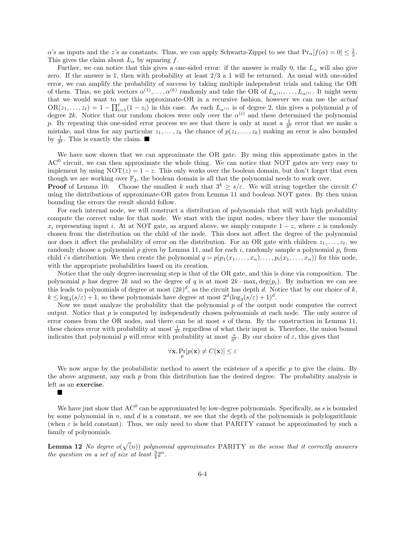$\alpha$ 's as inputs and the z's as constants. Thus, we can apply Schwartz-Zippel to see that  $Pr_{\alpha}[f(\alpha) = 0] \leq \frac{1}{3}$ . This gives the claim about  $L_{\alpha}$  by squaring f.

Further, we can notice that this gives a one-sided error: if the answer is really 0, the  $L_{\alpha}$  will also give zero. If the answer is 1, then with probability at least  $2/3$  a 1 will be returned. As usual with one-sided error, we can amplify the probability of success by taking multiple independent trials and taking the OR of them. Thus, we pick vectors  $\alpha^{(1)}, \ldots, \alpha^{(k)}$  randomly and take the OR of  $L_{\alpha^{(1)}}, \ldots, L_{\alpha^{(1)}}$ . It might seem that we would want to use this approximate-OR in a recursive fashion, however we can use the actual  $OR(z_1,..., z_t) = 1 - \prod_{i=1}^t (1 - z_i)$  in this case. As each  $L_{\alpha^{(i)}}$  is of degree 2, this gives a polynomial p of degree 2k. Notice that our random choices were only over the  $\alpha^{(i)}$  and these determined the polynomial p. By repeating this one-sided error process we see that there is only at most a  $\frac{1}{3^k}$  error that we make a mistake, and thus for any particular  $z_1, \ldots, z_k$  the chance of  $p(z_1, \ldots, z_k)$  making an error is also bounded by  $\frac{1}{3^k}$ . This is exactly the claim.

We have now shown that we can approximate the OR gate. By using this approximate gates in the AC<sup>0</sup> circuit, we can then approximate the whole thing. We can notice that NOT gates are very easy to implement by using  $\text{NOT}(z) = 1 - z$ . This only works over the boolean domain, but don't forget that even though we are working over  $\mathbb{F}_3$ , the boolean domain is all that the polynomial needs to work over.

**Proof** of Lemma 10: Choose the smallest k such that  $3^k > s/\varepsilon$ . We will string together the circuit C using the distributions of approximate-OR gates from Lemma 11 and boolean NOT gates. By then union bounding the errors the result should follow.

For each internal node, we will construct a distribution of polynomials that will with high probability compute the correct value for that node. We start with the input nodes, where they have the monomial  $x_i$  representing input i. At at NOT gate, as argued above, we simply compute  $1-z$ , where z is randomly chosen from the distribution on the child of the node. This does not affect the degree of the polynomial nor does it affect the probability of error on the distribution. For an OR gate with children  $z_1, \ldots, z_t$ , we randomly choose a polynomial p given by Lemma 11, and for each i, randomly sample a polynomial  $p_i$  from child i's distribution. We then create the polynomial  $q = p(p_1(x_1, \ldots, x_n), \ldots, p_t(x_1, \ldots, x_n))$  for this node, with the appropriate probabilities based on its creation.

Notice that the only degree-increasing step is that of the OR gate, and this is done via composition. The polynomial p has degree 2k and so the degree of q is at most  $2k \cdot \max_i \deg(p_i)$ . By induction we can see this leads to polynomials of degree at most  $(2k)^d$ , as the circuit has depth d. Notice that by our choice of k,  $k \leq \log_3(s/\varepsilon) + 1$ , so these polynomials have degree at most  $2^d(\log_3(s/\varepsilon) + 1)^d$ .

Now we must analyze the probability that the polynomial p of the output node computes the correct output. Notice that  $p$  is computed by independently chosen polynomials at each node. The only source of error comes from the OR nodes, and there can be at most s of them. By the construction in Lemma 11, these choices error with probability at most  $\frac{1}{3^k}$  regardless of what their input is. Therefore, the union bound indicates that polynomial p will error with probability at most  $\frac{s}{3^k}$ . By our choice of  $\varepsilon$ , this gives that

$$
\forall \mathbf{x}, \Pr_p[p(\mathbf{x}) \neq C(\mathbf{x})] \leq \varepsilon
$$

We now argue by the probabilistic method to assert the existence of a specific  $p$  to give the claim. By the above argument, any such  $p$  from this distribution has the desired degree. The probability analysis is left as an exercise.

 $\Box$ 

We have just show that  $AC^0$  can be approximated by low-degree polynomials. Specifically, as s is bounded by some polynomial in  $n$ , and  $d$  is a constant, we see that the depth of the polynomials is polylogarithmic (when  $\varepsilon$  is held constant). Thus, we only need to show that PARITY cannot be approximated by such a family of polynomials.

**Lemma 12** No degree  $o(\sqrt{n})$  polynomial approximates PARITY in the sense that it correctly answers the question on a set of size at least  $\frac{3}{4}2^n$ .